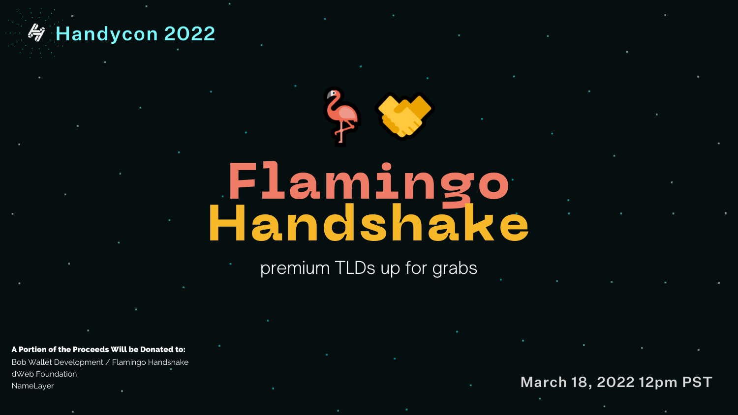### premium TLDs up for grabs

**Flamingo Handshake**

March 18, 2022 12pm PST

Bob Wallet Development / Flamingo Handshake dWeb Foundation NameLayer

### **WHandycon 2022**

#### A Portion of the Proceeds Will be Donated to: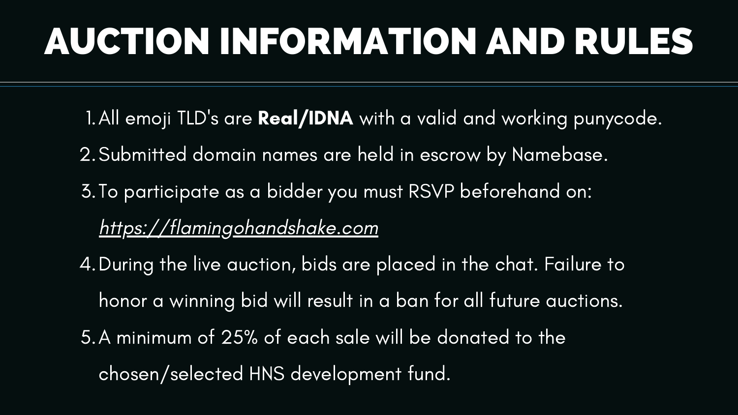1. All emoji TLD's are Real/IDNA with a valid and working punycode. 2. Submitted domain names are held in escrow by Namebase. 3. To participate as a bidder you must RSVP beforehand on: https://flamingohandshake.com 4. During the live auction, bids are placed in the chat. Failure to honor a winning bid will result in a ban for all future auctions. A minimum of 25% of each sale will be donated to the 5. chosen/selected HNS development fund.

# AUCTION INFORMATION AND RULES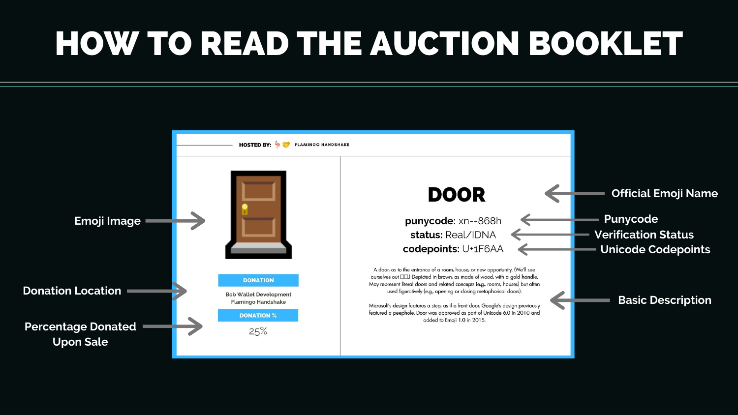# HOW TO READ THE AUCTION BOOKLET



**DOOR** 

#### punycode: xn--868h status: Real/IDNA codepoints: U+1F6AA

A door, as to the entrance of a room, house, or new opportunity. (We'll see ourselves out  $\Box$ ). Depicted in brown, as made of wood, with a gold handle. May represent literal doors and related concepts (e.g., rooms, houses) but often used figuratively (e.g., opening or closing metaphorical doors).

Microsoft's design features a step, as if a front door. Google's design previously featured a peephole. Door was approved as part of Unicode 6.0 in 2010 and added to Emoji 1.0 in 2015.

#### **Official Emoji Name**

**Punycode Verification Status Unicode Codepoints**

#### **Basic Description**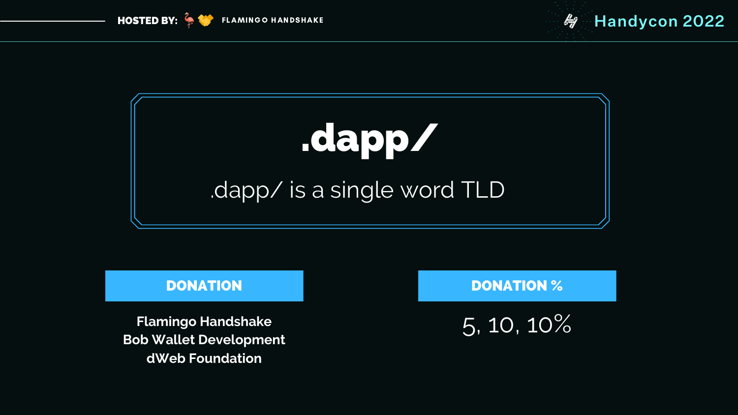**Flamingo Handshake Bob Wallet Development dWeb Foundation**

#### DONATION

### 5, 10, 10%



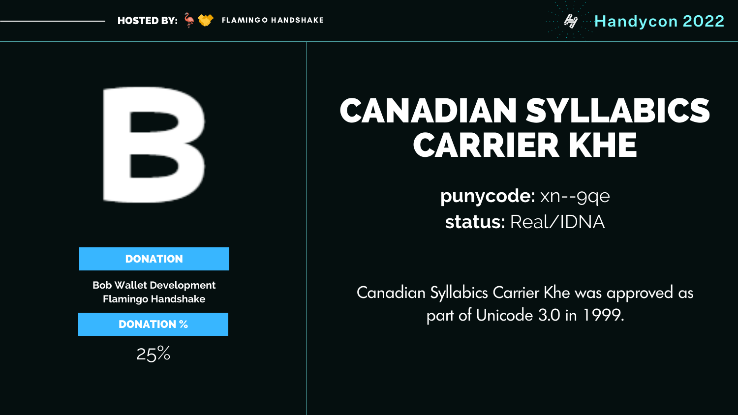

## CANADIAN SYLLABICS CARRIER KHE



#### **DONATION**

**punycode:** xn--9qe **status:** Real/IDNA

Canadian Syllabics Carrier Khe was approved as part of Unicode 3.0 in 1999.

FLAMINGO HANDSHAKE **handycon 2022** 

**Bob Wallet Development Flamingo Handshake**

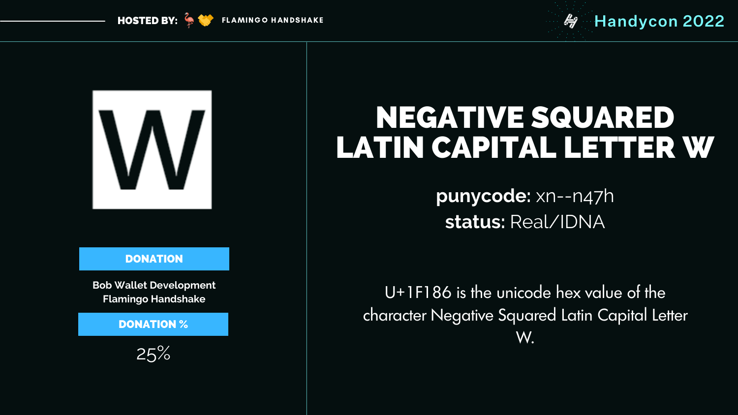

**HOSTED BY:**  $\rightarrow \bullet$ 

#### **DONATION**

## NEGATIVE SQUARED LATIN CAPITAL LETTER W

**punycode:** xn--n47h **status:** Real/IDNA

U+1F186 is the unicode hex value of the character Negative Squared Latin Capital Letter W.

### FLAMINGO HANDSHAKE **handycon 2022**

**Bob Wallet Development Flamingo Handshake**

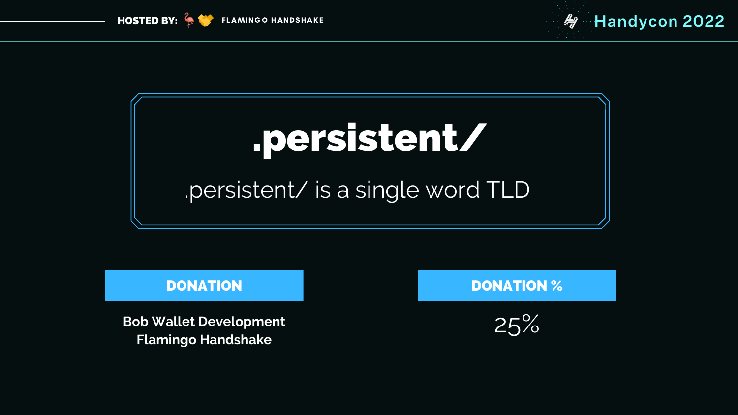#### DONATION





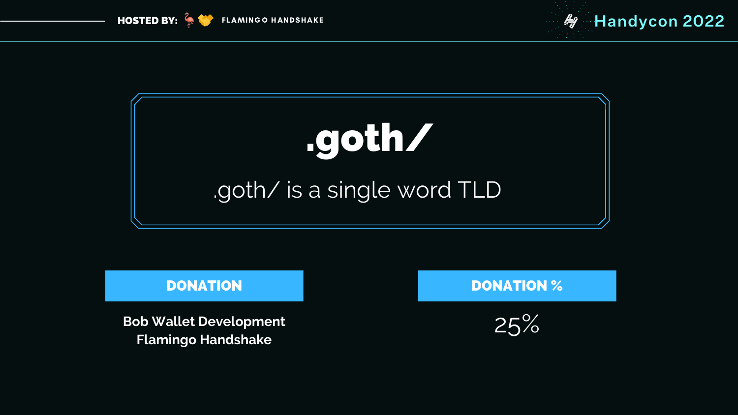### DONATION



#### DONATION %





# [.goth/](http://tll.hns.to/) [.goth/](https://www.namebase.io/domains/joh) is a single word TLD



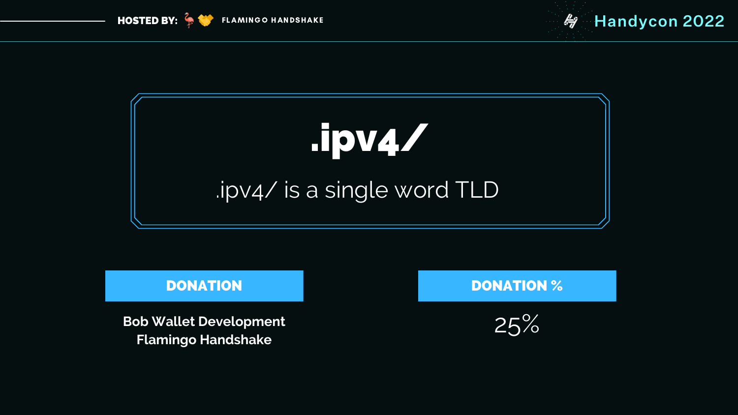### DONATION



#### DONATION %





# [.ipv4/](http://tll.hns.to/) .ipv4/ is a [single](https://www.namebase.io/domains/joh) word TLD



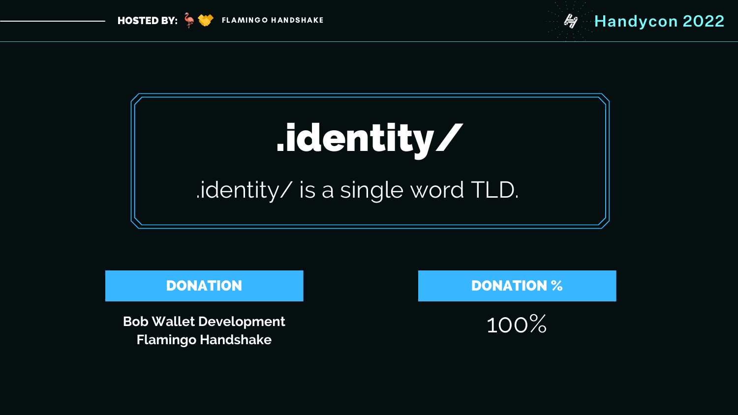### DONATION



#### DONATION %





# [.identity](http://tll.hns.to/)/ [.identity/](https://www.namebase.io/domains/joh) is a single word TLD.



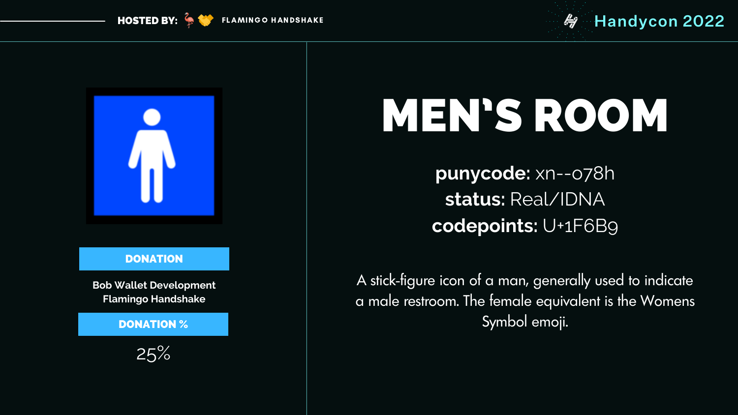# MEN'S ROOM

**punycode:** xn--o78h **status:** Real/IDNA **codepoints:** U+1F6B9

A stick-figure icon of a man, generally used to indicate a male restroom. The female equivalent is the Womens Symbol emoji.



**HOSTED BY:** 

25%

### **FLAMINGO HANDSHAKE Handycon 2022**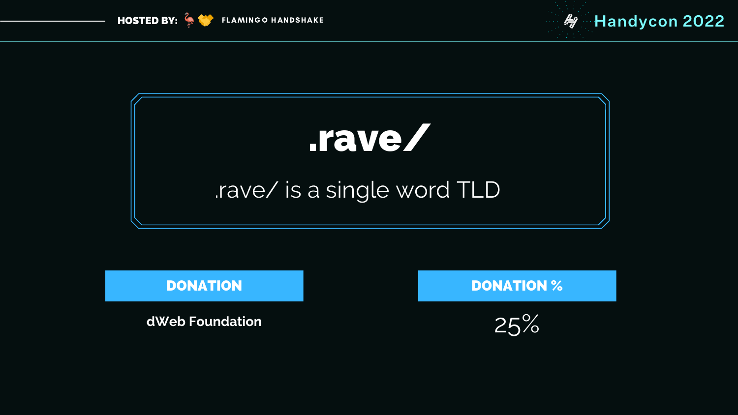



# [.rave/](http://tll.hns.to/)

**dWeb Foundation**

### DONATION



#### DONATION %

## [.rave/](https://www.namebase.io/domains/joh) is a single word TLD



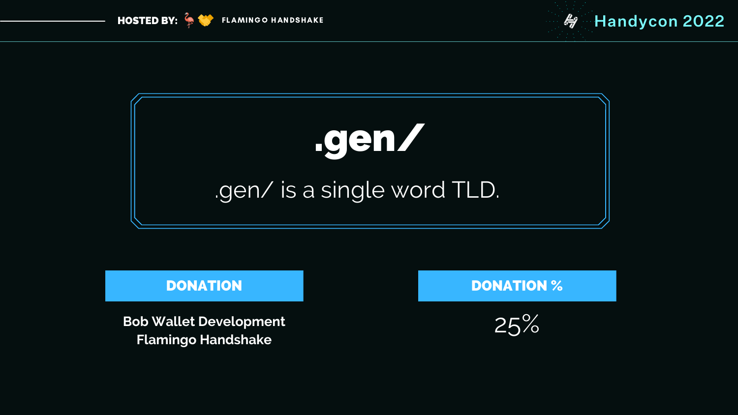### DONATION



#### DONATION %





# [.gen/](http://tll.hns.to/) .gen/ is a [single](https://www.namebase.io/domains/joh) word TLD.



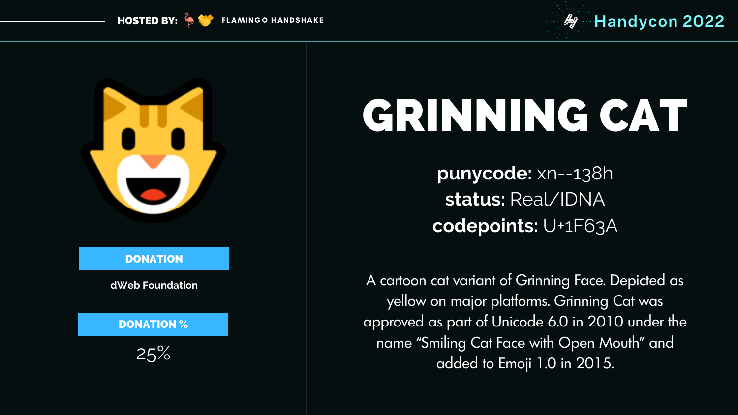

**HOSTED BY:**  $\frac{2}{3}$ 

# GRINNING CAT

**punycode:** xn--138h **status:** Real/IDNA **codepoints:** U+1F63A

A cartoon cat variant of Grinning Face. Depicted as yellow on major platforms. Grinning Cat was approved as part of Unicode 6.0 in 2010 under the name "Smiling Cat Face with Open Mouth" and added to Emoji 1.0 in 2015.

### FLAMINGO HANDSHAKE **handycon 2022**

**dWeb Foundation**

DONATION

25%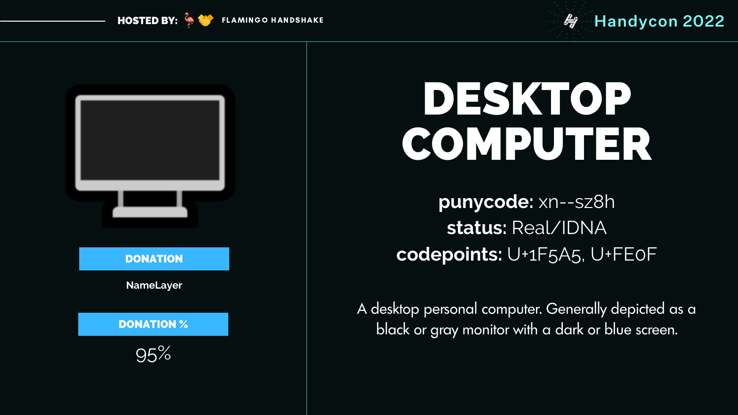

# DESKTOP COMPUTER

**punycode:** xn--sz8h **status:** Real/IDNA **codepoints:** U+1F5A5, U+FE0F

A desktop personal computer. Generally depicted as a black or gray monitor with a dark or blue screen.

FLAMINGO HANDSHAKE **handycon 2022** 

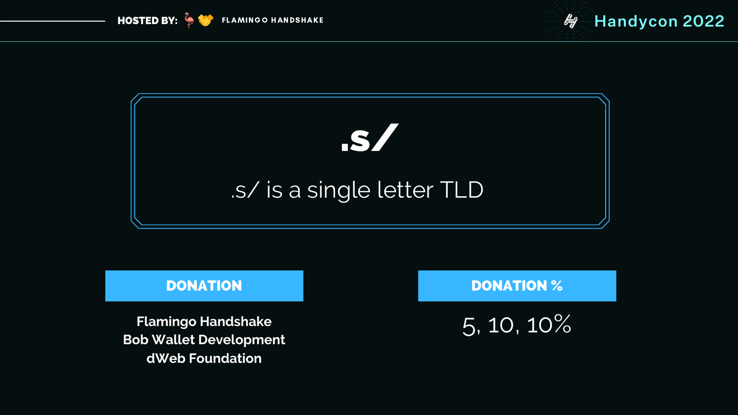**Flamingo Handshake Bob Wallet Development dWeb Foundation**

#### DONATION

## 5, 10, 10%

### DONATION %





# [.s/](http://tll.hns.to/) .s/ is a [single](https://www.namebase.io/domains/joh) letter TLD